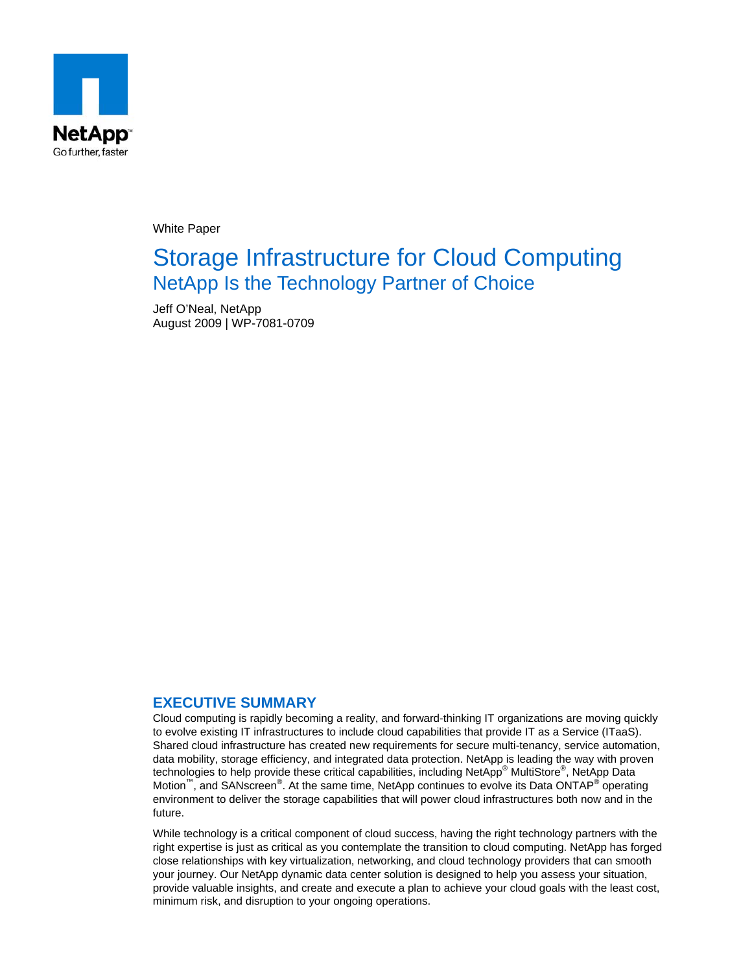

White Paper

# Storage Infrastructure for Cloud Computing NetApp Is the Technology Partner of Choice

Jeff O'Neal, NetApp August 2009 | WP-7081-0709

#### **EXECUTIVE SUMMARY**

Cloud computing is rapidly becoming a reality, and forward-thinking IT organizations are moving quickly to evolve existing IT infrastructures to include cloud capabilities that provide IT as a Service (ITaaS). Shared cloud infrastructure has created new requirements for secure multi-tenancy, service automation, data mobility, storage efficiency, and integrated data protection. NetApp is leading the way with proven technologies to help provide these critical capabilities, including NetApp® MultiStore®, NetApp Data Motion<sup>™</sup>, and SANscreen<sup>®</sup>. At the same time, NetApp continues to evolve its Data ONTAP<sup>®</sup> operating environment to deliver the storage capabilities that will power cloud infrastructures both now and in the future.

While technology is a critical component of cloud success, having the right technology partners with the right expertise is just as critical as you contemplate the transition to cloud computing. NetApp has forged close relationships with key virtualization, networking, and cloud technology providers that can smooth your journey. Our NetApp dynamic data center solution is designed to help you assess your situation, provide valuable insights, and create and execute a plan to achieve your cloud goals with the least cost, minimum risk, and disruption to your ongoing operations.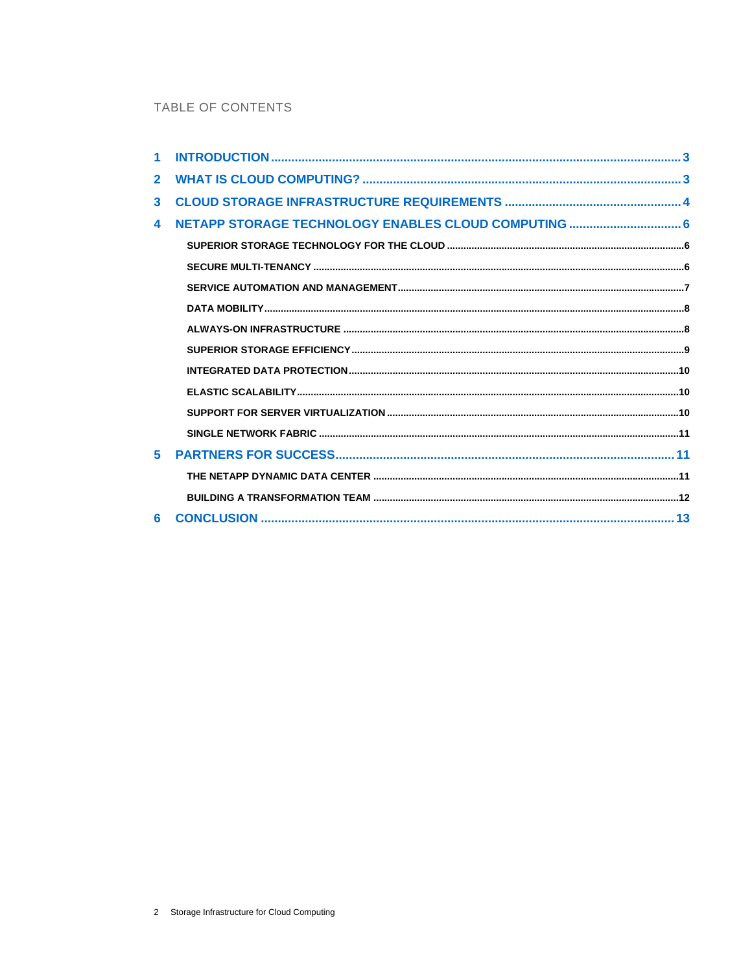# TABLE OF CONTENTS

| $\overline{2}$          |                                                      |  |
|-------------------------|------------------------------------------------------|--|
| $\overline{\mathbf{3}}$ |                                                      |  |
| $\blacktriangle$        | NETAPP STORAGE TECHNOLOGY ENABLES CLOUD COMPUTING  6 |  |
|                         |                                                      |  |
|                         |                                                      |  |
|                         |                                                      |  |
|                         |                                                      |  |
|                         |                                                      |  |
|                         |                                                      |  |
|                         |                                                      |  |
|                         |                                                      |  |
|                         |                                                      |  |
|                         |                                                      |  |
| 5                       |                                                      |  |
|                         |                                                      |  |
|                         |                                                      |  |
| 6                       |                                                      |  |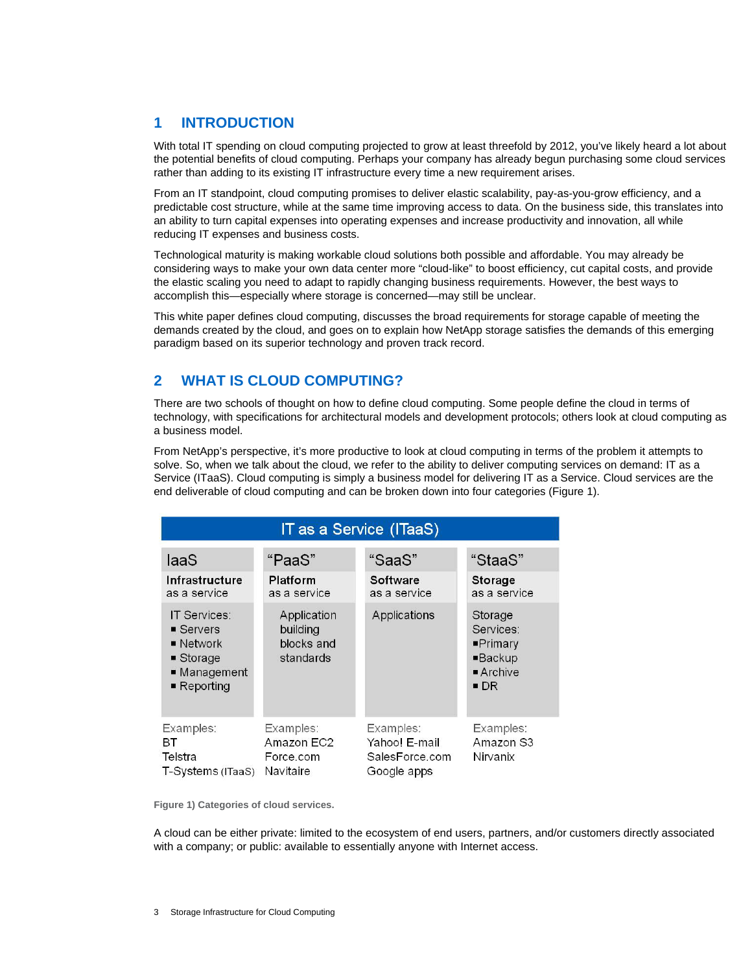## <span id="page-2-0"></span>**1 INTRODUCTION**

With total IT spending on cloud computing projected to grow at least threefold by 2012, you've likely heard a lot about the potential benefits of cloud computing. Perhaps your company has already begun purchasing some cloud services rather than adding to its existing IT infrastructure every time a new requirement arises.

From an IT standpoint, cloud computing promises to deliver elastic scalability, pay-as-you-grow efficiency, and a predictable cost structure, while at the same time improving access to data. On the business side, this translates into an ability to turn capital expenses into operating expenses and increase productivity and innovation, all while reducing IT expenses and business costs.

Technological maturity is making workable cloud solutions both possible and affordable. You may already be considering ways to make your own data center more "cloud-like" to boost efficiency, cut capital costs, and provide the elastic scaling you need to adapt to rapidly changing business requirements. However, the best ways to accomplish this—especially where storage is concerned—may still be unclear.

This white paper defines cloud computing, discusses the broad requirements for storage capable of meeting the demands created by the cloud, and goes on to explain how NetApp storage satisfies the demands of this emerging paradigm based on its superior technology and proven track record.

# **2 WHAT IS CLOUD COMPUTING?**

There are two schools of thought on how to define cloud computing. Some people define the cloud in terms of technology, with specifications for architectural models and development protocols; others look at cloud computing as a business model.

From NetApp's perspective, it's more productive to look at cloud computing in terms of the problem it attempts to solve. So, when we talk about the cloud, we refer to the ability to deliver computing services on demand: IT as a Service (ITaaS). Cloud computing is simply a business model for delivering IT as a Service. Cloud services are the end deliverable of cloud computing and can be broken down into four categories (Figure 1).

| IT as a Service (ITaaS)                                                                                                   |                                                    |                                                             |                                                                                                         |  |  |  |  |  |
|---------------------------------------------------------------------------------------------------------------------------|----------------------------------------------------|-------------------------------------------------------------|---------------------------------------------------------------------------------------------------------|--|--|--|--|--|
| laaS                                                                                                                      | "PaaS"                                             | "SaaS"                                                      | "StaaS"                                                                                                 |  |  |  |  |  |
| Infrastructure<br>as a service                                                                                            | Platform<br>as a service                           | Software<br>as a service                                    | <b>Storage</b><br>as a service                                                                          |  |  |  |  |  |
| IT Services:<br>■ Servers<br>$\blacksquare$ Network<br>$\blacksquare$ Storage<br>■ Management<br>$\blacksquare$ Reporting | Application<br>building<br>blocks and<br>standards | Applications                                                | Storage<br>Services:<br>$\blacksquare$ Primary<br>$\blacksquare$ Backup<br>Archive<br>$\blacksquare$ DR |  |  |  |  |  |
| Examples:<br>BТ<br>Telstra<br>T-Systems (ITaaS)                                                                           | Examples:<br>Amazon EC2<br>Force.com<br>Navitaire  | Examples:<br>Yahoo! E-mail<br>SalesForce.com<br>Google apps | Examples:<br>Amazon S3<br>Nirvanix                                                                      |  |  |  |  |  |

**Figure 1) Categories of cloud services.** 

A cloud can be either private: limited to the ecosystem of end users, partners, and/or customers directly associated with a company; or public: available to essentially anyone with Internet access.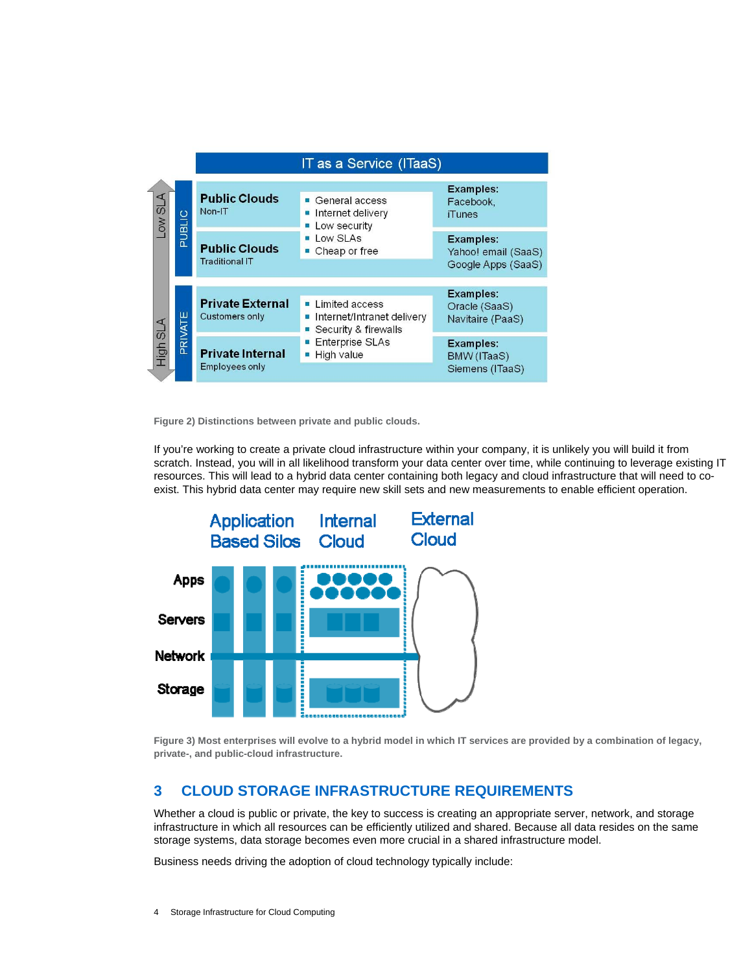<span id="page-3-0"></span>

**Figure 2) Distinctions between private and public clouds.** 

If you're working to create a private cloud infrastructure within your company, it is unlikely you will build it from scratch. Instead, you will in all likelihood transform your data center over time, while continuing to leverage existing IT resources. This will lead to a hybrid data center containing both legacy and cloud infrastructure that will need to coexist. This hybrid data center may require new skill sets and new measurements to enable efficient operation.



**igure 3) Most enterprises will evolve to a hybrid model in which IT services are provided by a combination of legacy, F rivate-, and public-cloud infrastructure. p**

### **3 CLOUD STORAGE INFRASTRUCTURE REQUIREMENTS**

Whether a cloud is public or private, the key to success is creating an appropriate server, network, and storage infrastructure in which all resources can be efficiently utilized and shared. Because all data resides on the same storage systems, data storage becomes even more crucial in a shared infrastructure model.

Business needs driving the adoption of cloud technology typically include: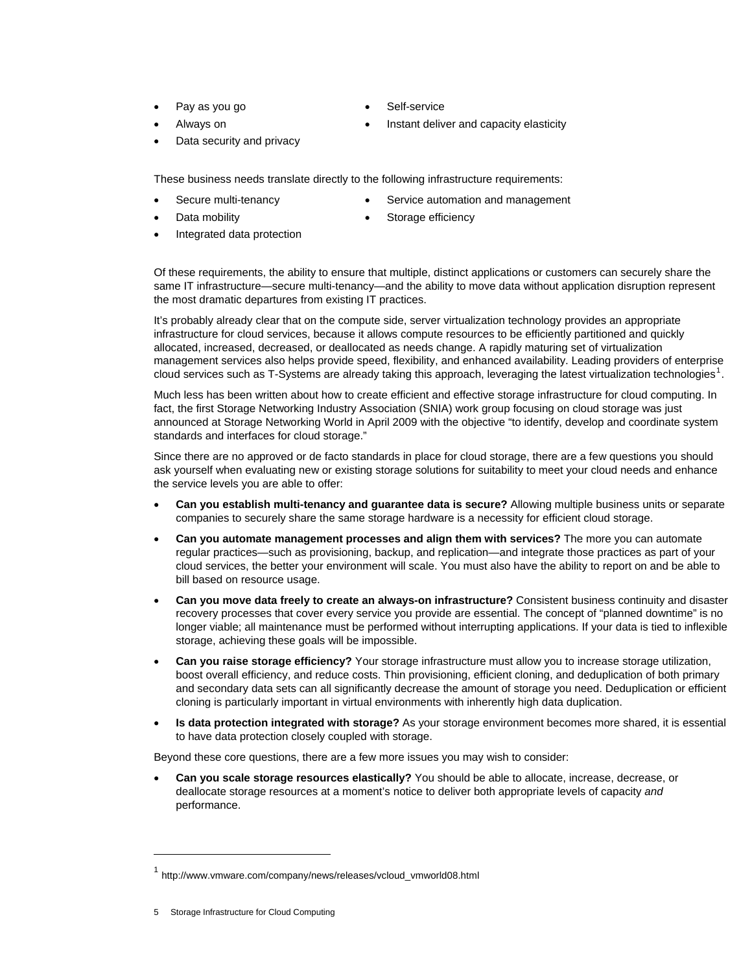- 
- 
- Pay as you go **•** Self-service
- Always on  **Instant deliver and capacity elasticity**
- Data security and privacy

These business needs translate directly to the following infrastructure requirements:

- - Secure multi-tenancy Service automation and management
- 
- Data mobility **be a state of the Storage efficiency Storage efficiency**
- Integrated data protection

Of these requirements, the ability to ensure that multiple, distinct applications or customers can securely share the same IT infrastructure—secure multi-tenancy—and the ability to move data without application disruption represent the most dramatic departures from existing IT practices.

It's probably already clear that on the compute side, server virtualization technology provides an appropriate management services also helps provide speed, flexibility, and enhanced availability. Leading providers of enterprise<br>claud services avables T. Systems are also dy taking this approach, loweraing the latest virtualization infrastructure for cloud services, because it allows compute resources to be efficiently partitioned and quickly allocated, increased, decreased, or deallocated as needs change. A rapidly maturing set of virtualization cloud services such as T-Systems are already taking this approach, leveraging the latest virtualization technologies<sup>1</sup>.

Much less has been written about how to create efficient and effective storage infrastructure for cloud computing. In fact, the first Storage Networking Industry Association (SNIA) work group focusing on cloud storage was just announced at Storage Networking World in April 2009 with the objective "to identify, develop and coordinate system standards and interfaces for cloud storage."

Since there are no approved or de facto standards in place for cloud storage, there are a few questions you should ask yourself when evaluating new or existing storage solutions for suitability to meet your cloud needs and enhance the service levels you are able to offer:

- **Can you establish multi-tenancy and guarantee data is secure?** Allowing multiple business units or separate companies to securely share the same storage hardware is a necessity for efficient cloud storage.
- **Can you automate management processes and align them with services?** The more you can automate regular practices—such as provisioning, backup, and replication—and integrate those practices as part of your cloud services, the better your environment will scale. You must also have the ability to report on and be able to bill based on resource usage.
- **Can you move data freely to create an always-on infrastructure?** Consistent business continuity and disaster recovery processes that cover every service you provide are essential. The concept of "planned downtime" is no longer viable; all maintenance must be performed without interrupting applications. If your data is tied to inflexible storage, achieving these goals will be impossible.
- Can you raise storage efficiency? Your storage infrastructure must allow you to increase storage utilization, boost overall efficiency, and reduce costs. Thin provisioning, efficient cloning, and deduplication of both primary and secondary data sets can all significantly decrease the amount of storage you need. Deduplication or efficient cloning is particularly important in virtual environments with inherently high data duplication.
- Is data protection integrated with storage? As your storage environment becomes more shared, it is essential to have data protection closely coupled with storage.

Beyond these core questions, there are a few more issues you may wish to consider:

• Can you scale storage resources elastically? You should be able to allocate, increase, decrease, or deallocate storage resources at a moment's notice to deliver both appropriate levels of capacity *and* performance.

l

<sup>1</sup> http://www.vmware.com/company/news/releases/vcloud\_vmworld08.html

<sup>5</sup> Storage Infrastructure for Cloud Computing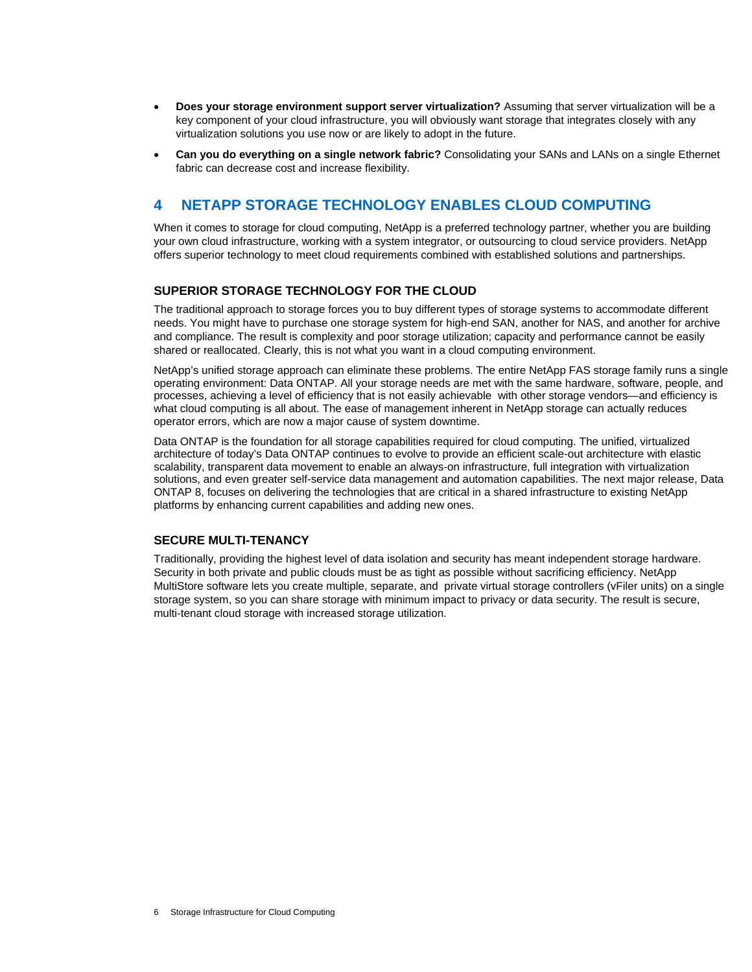- <span id="page-5-0"></span>• **Does your storage environment support server virtualization?** Assuming that server virtualization will be a key component of your cloud infrastructure, you will obviously want storage that integrates closely with any virtualization solutions you use now or are likely to adopt in the future.
- **Can you do everything on a single network fabric?** Consolidating your SANs and LANs on a single Ethernet fabric can decrease cost and increase flexibility.

# **4 NETAPP STORAGE TECHNOLOGY ENABLES CLOUD COMPUTING**

When it comes to storage for cloud computing, NetApp is a preferred technology partner, whether you are building your own cloud infrastructure, working with a system integrator, or outsourcing to cloud service providers. NetApp offers superior technology to meet cloud requirements combined with established solutions and partnerships.

#### **SUPERIOR STORAGE TECHNOLOGY FOR THE CLOUD**

The traditional approach to storage forces you to buy different types of storage systems to accommodate different needs. You might have to purchase one storage system for high-end SAN, another for NAS, and another for archive and compliance. The result is complexity and poor storage utilization; capacity and performance cannot be easily shared or reallocated. Clearly, this is not what you want in a cloud computing environment.

NetApp's unified storage approach can eliminate these problems. The entire NetApp FAS storage family runs a single operating environment: Data ONTAP. All your storage needs are met with the same hardware, software, people, and processes, achieving a level of efficiency that is not easily achievable with other storage vendors—and efficiency is what cloud computing is all about. The ease of management inherent in NetApp storage can actually reduces operator errors, which are now a major cause of system downtime.

Data ONTAP is the foundation for all storage capabilities required for cloud computing. The unified, virtualized architecture of today's Data ONTAP continues to evolve to provide an efficient scale-out architecture with elastic scalability, transparent data movement to enable an always-on infrastructure, full integration with virtualization solutions, and even greater self-service data management and automation capabilities. The next major release, Data ONTAP 8, focuses on delivering the technologies that are critical in a shared infrastructure to existing NetApp platforms by enhancing current capabilities and adding new ones.

#### **SECURE MULTI-TENANCY**

Traditionally, providing the highest level of data isolation and security has meant independent storage hardware. Security in both private and public clouds must be as tight as possible without sacrificing efficiency. NetApp MultiStore software lets you create multiple, separate, and private virtual storage controllers (vFiler units) on a single storage system, so you can share storage with minimum impact to privacy or data security. The result is secure, multi-tenant cloud storage with increased storage utilization.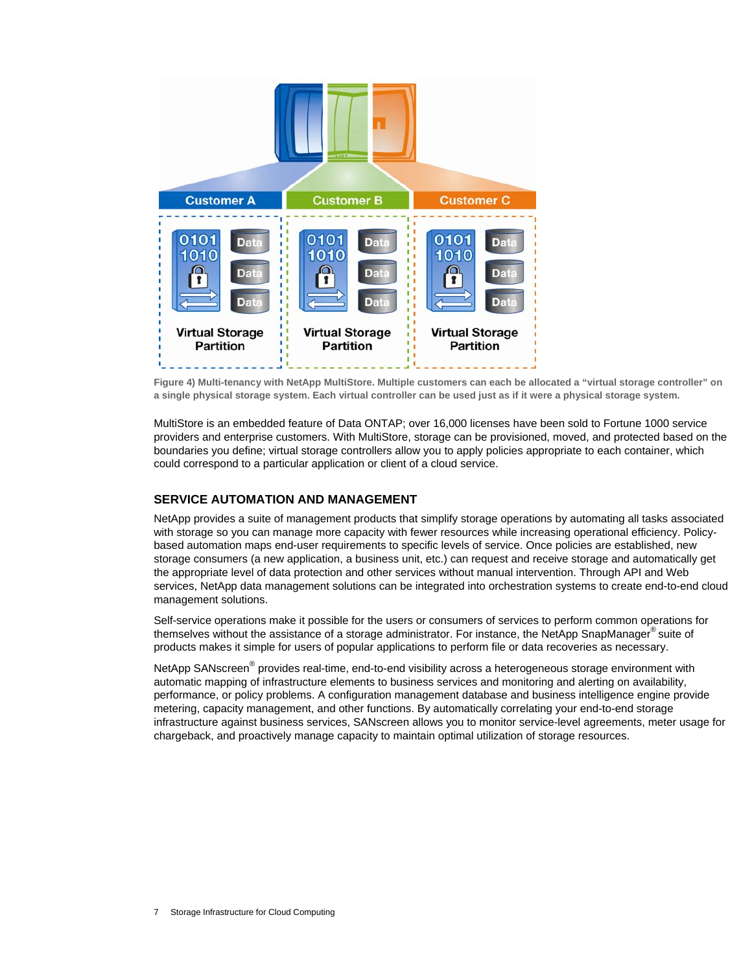<span id="page-6-0"></span>

**Figure 4) Multi-tenancy with NetApp MultiStore. Multiple customers can each be allocated a "virtual storage controller" on a single physical storage system. Each virtual controller can be used just as if it were a physical storage system.** 

MultiStore is an embedded feature of Data ONTAP; over 16,000 licenses have been sold to Fortune 1000 service providers and enterprise customers. With MultiStore, storage can be provisioned, moved, and protected based on the boundaries you define; virtual storage controllers allow you to apply policies appropriate to each container, which could correspond to a particular application or client of a cloud service.

#### **SERVICE AUTOMATION AND MANAGEMENT**

NetApp provides a suite of management products that simplify storage operations by automating all tasks associated with storage so you can manage more capacity with fewer resources while increasing operational efficiency. Policybased automation maps end-user requirements to specific levels of service. Once policies are established, new storage consumers (a new application, a business unit, etc.) can request and receive storage and automatically get the appropriate level of data protection and other services without manual intervention. Through API and Web services, NetApp data management solutions can be integrated into orchestration systems to create end-to-end cloud management solutions.

Self-service operations make it possible for the users or consumers of services to perform common operations for themselves without the assistance of a storage administrator. For instance, the NetApp SnapManager® suite of products makes it simple for users of popular applications to perform file or data recoveries as necessary.

NetApp SANscreen® provides real-time, end-to-end visibility across a heterogeneous storage environment with automatic mapping of infrastructure elements to business services and monitoring and alerting on availability, performance, or policy problems. A configuration management database and business intelligence engine provide metering, capacity management, and other functions. By automatically correlating your end-to-end storage infrastructure against business services, SANscreen allows you to monitor service-level agreements, meter usage for chargeback, and proactively manage capacity to maintain optimal utilization of storage resources.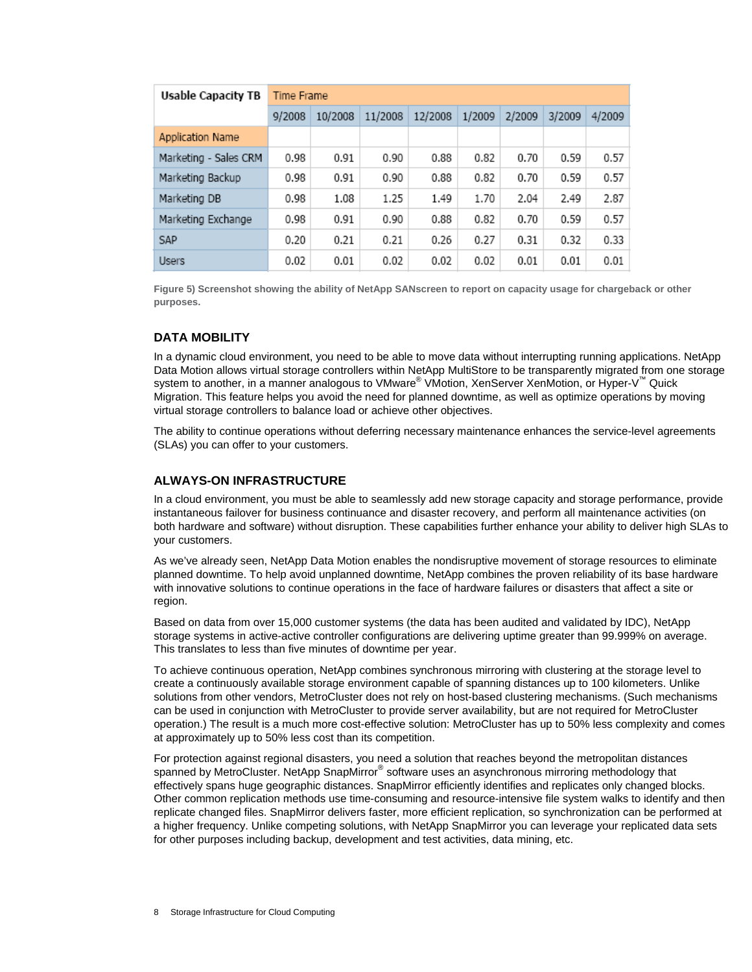<span id="page-7-0"></span>

| <b>Usable Capacity TB</b> | Time Frame |         |         |         |        |        |        |        |
|---------------------------|------------|---------|---------|---------|--------|--------|--------|--------|
|                           | 9/2008     | 10/2008 | 11/2008 | 12/2008 | 1/2009 | 2/2009 | 3/2009 | 4/2009 |
| Application Name          |            |         |         |         |        |        |        |        |
| Marketing - Sales CRM     | 0.98       | 0.91    | 0.90    | 0.88    | 0.82   | 0.70   | 0.59   | 0.57   |
| Marketing Backup          | 0.98       | 0.91    | 0.90    | 0.88    | 0.82   | 0.70   | 0.59   | 0.57   |
| Marketing DB              | 0.98       | 1.08    | 1.25    | 1.49    | 1.70   | 2.04   | 2.49   | 2.87   |
| Marketing Exchange        | 0.98       | 0.91    | 0.90    | 0.88    | 0.82   | 0.70   | 0.59   | 0.57   |
| SAP                       | 0.20       | 0.21    | 0.21    | 0.26    | 0.27   | 0.31   | 0.32   | 0.33   |
| <b>Users</b>              | 0.02       | 0.01    | 0.02    | 0.02    | 0.02   | 0.01   | 0.01   | 0.01   |

**Figure 5) Screenshot showing the ability of NetApp SANscreen to report on capacity usage for chargeback or other purposes.** 

#### **DATA MOBILITY**

In a dynamic cloud environment, you need to be able to move data without interrupting running applications. NetApp Data Motion allows virtual storage controllers within NetApp MultiStore to be transparently migrated from one storage system to another, in a manner analogous to VMware® VMotion, XenServer XenMotion, or Hyper-V™ Quick Migration. This feature helps you avoid the need for planned downtime, as well as optimize operations by moving virtual storage controllers to balance load or achieve other objectives.

The ability to continue operations without deferring necessary maintenance enhances the service-level agreements (SLAs) you can offer to your customers.

#### **ALWAYS-ON INFRASTRUCTURE**

In a cloud environment, you must be able to seamlessly add new storage capacity and storage performance, provide instantaneous failover for business continuance and disaster recovery, and perform all maintenance activities (on both hardware and software) without disruption. These capabilities further enhance your ability to deliver high SLAs to your customers.

As we've already seen, NetApp Data Motion enables the nondisruptive movement of storage resources to eliminate planned downtime. To help avoid unplanned downtime, NetApp combines the proven reliability of its base hardware with innovative solutions to continue operations in the face of hardware failures or disasters that affect a site or region.

Based on data from over 15,000 customer systems (the data has been audited and validated by IDC), NetApp storage systems in active-active controller configurations are delivering uptime greater than 99.999% on average. This translates to less than five minutes of downtime per year.

To achieve continuous operation, NetApp combines synchronous mirroring with clustering at the storage level to create a continuously available storage environment capable of spanning distances up to 100 kilometers. Unlike solutions from other vendors, MetroCluster does not rely on host-based clustering mechanisms. (Such mechanisms can be used in conjunction with MetroCluster to provide server availability, but are not required for MetroCluster operation.) The result is a much more cost-effective solution: MetroCluster has up to 50% less complexity and comes at approximately up to 50% less cost than its competition.

For protection against regional disasters, you need a solution that reaches beyond the metropolitan distances spanned by MetroCluster. NetApp SnapMirror® software uses an asynchronous mirroring methodology that effectively spans huge geographic distances. SnapMirror efficiently identifies and replicates only changed blocks. Other common replication methods use time-consuming and resource-intensive file system walks to identify and then replicate changed files. SnapMirror delivers faster, more efficient replication, so synchronization can be performed at a higher frequency. Unlike competing solutions, with NetApp SnapMirror you can leverage your replicated data sets for other purposes including backup, development and test activities, data mining, etc.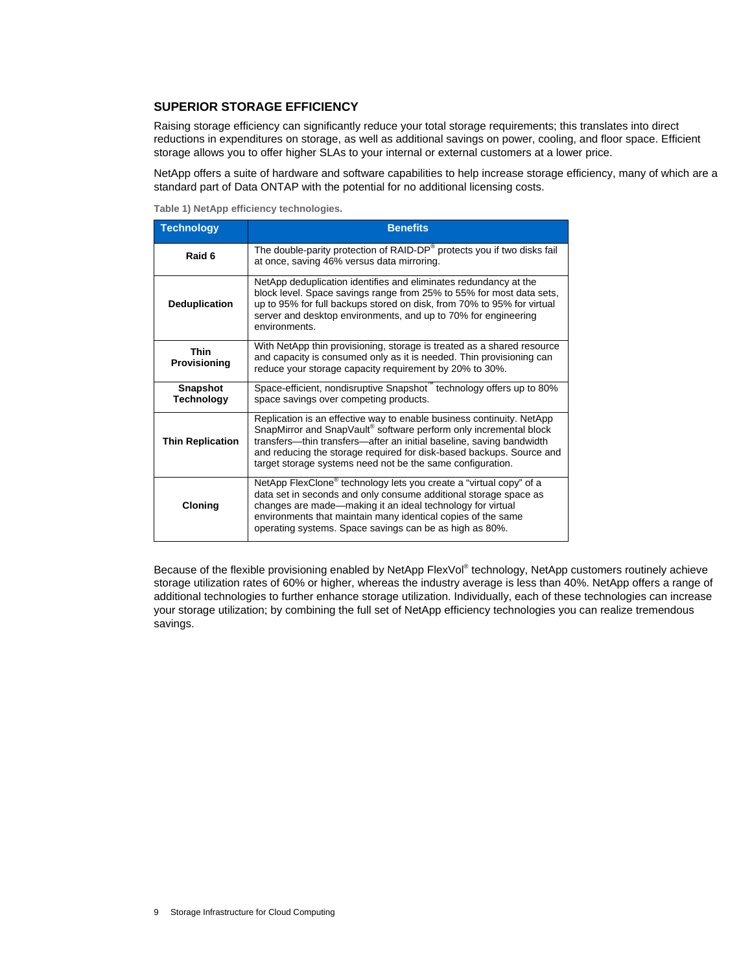#### <span id="page-8-0"></span>**SUPERIOR STORAGE EFFICIENCY**

Raising storage efficiency can significantly reduce your total storage requirements; this translates into direct reductions in expenditures on storage, as well as additional savings on power, cooling, and floor space. Efficient storage allows you to offer higher SLAs to your internal or external customers at a lower price.

NetApp offers a suite of hardware and software capabilities to help increase storage efficiency, many of which are a standard part of Data ONTAP with the potential for no additional licensing costs.

**Table 1) NetApp efficiency technologies.** 

| <b>Technology</b>                    | <b>Benefits</b>                                                                                                                                                                                                                                                                                                                                          |  |  |  |  |
|--------------------------------------|----------------------------------------------------------------------------------------------------------------------------------------------------------------------------------------------------------------------------------------------------------------------------------------------------------------------------------------------------------|--|--|--|--|
| Raid 6                               | The double-parity protection of RAID-DP® protects you if two disks fail<br>at once, saving 46% versus data mirroring.                                                                                                                                                                                                                                    |  |  |  |  |
| <b>Deduplication</b>                 | NetApp deduplication identifies and eliminates redundancy at the<br>block level. Space savings range from 25% to 55% for most data sets,<br>up to 95% for full backups stored on disk, from 70% to 95% for virtual<br>server and desktop environments, and up to 70% for engineering<br>environments.                                                    |  |  |  |  |
| <b>Thin</b><br>Provisioning          | With NetApp thin provisioning, storage is treated as a shared resource<br>and capacity is consumed only as it is needed. Thin provisioning can<br>reduce your storage capacity requirement by 20% to 30%.                                                                                                                                                |  |  |  |  |
| <b>Snapshot</b><br><b>Technology</b> | Space-efficient, nondisruptive Snapshot the chnology offers up to 80%<br>space savings over competing products.                                                                                                                                                                                                                                          |  |  |  |  |
| <b>Thin Replication</b>              | Replication is an effective way to enable business continuity. NetApp<br>SnapMirror and SnapVault® software perform only incremental block<br>transfers-thin transfers-after an initial baseline, saving bandwidth<br>and reducing the storage required for disk-based backups. Source and<br>target storage systems need not be the same configuration. |  |  |  |  |
| Cloning                              | NetApp FlexClone <sup>®</sup> technology lets you create a "virtual copy" of a<br>data set in seconds and only consume additional storage space as<br>changes are made-making it an ideal technology for virtual<br>environments that maintain many identical copies of the same<br>operating systems. Space savings can be as high as 80%.              |  |  |  |  |

Because of the flexible provisioning enabled by NetApp FlexVol® technology, NetApp customers routinely achieve storage utilization rates of 60% or higher, whereas the industry average is less than 40%. NetApp offers a range of additional technologies to further enhance storage utilization. Individually, each of these technologies can increase your storage utilization; by combining the full set of NetApp efficiency technologies you can realize tremendous savings.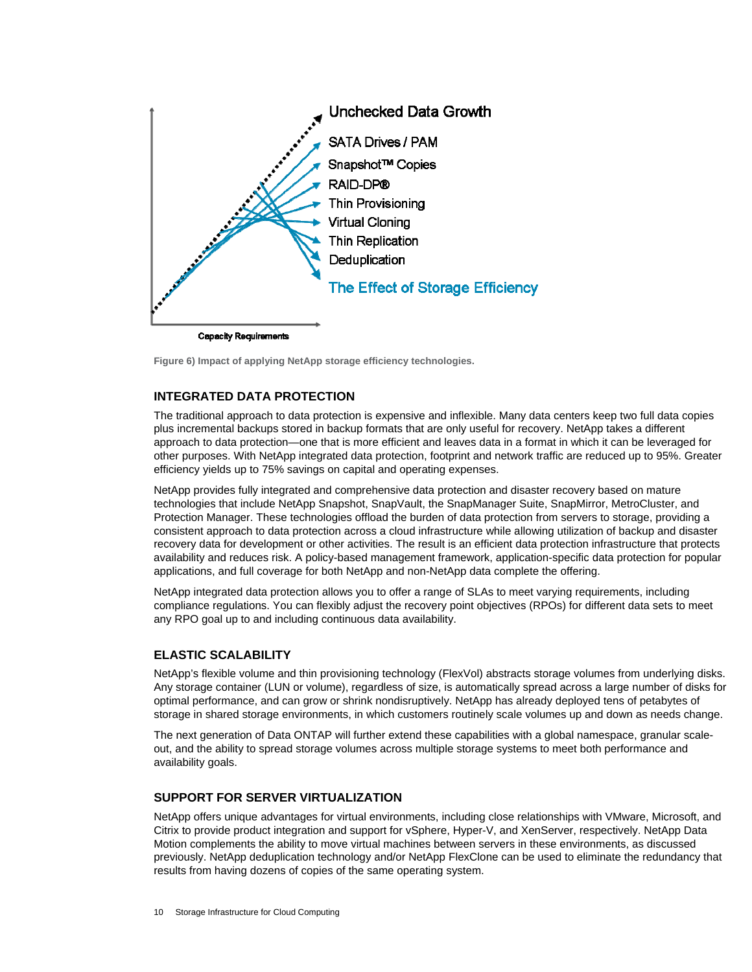<span id="page-9-0"></span>

**Figure 6) Impact of applying NetApp storage efficiency technologies.** 

#### **INTEGRATED DATA PROTECTION**

The traditional approach to data protection is expensive and inflexible. Many data centers keep two full data copies plus incremental backups stored in backup formats that are only useful for recovery. NetApp takes a different approach to data protection—one that is more efficient and leaves data in a format in which it can be leveraged for other purposes. With NetApp integrated data protection, footprint and network traffic are reduced up to 95%. Greater efficiency yields up to 75% savings on capital and operating expenses.

NetApp provides fully integrated and comprehensive data protection and disaster recovery based on mature technologies that include NetApp Snapshot, SnapVault, the SnapManager Suite, SnapMirror, MetroCluster, and Protection Manager. These technologies offload the burden of data protection from servers to storage, providing a consistent approach to data protection across a cloud infrastructure while allowing utilization of backup and disaster recovery data for development or other activities. The result is an efficient data protection infrastructure that protects availability and reduces risk. A policy-based management framework, application-specific data protection for popular applications, and full coverage for both NetApp and non-NetApp data complete the offering.

NetApp integrated data protection allows you to offer a range of SLAs to meet varying requirements, including compliance regulations. You can flexibly adjust the recovery point objectives (RPOs) for different data sets to meet any RPO goal up to and including continuous data availability.

#### **ELASTIC SCALABILITY**

NetApp's flexible volume and thin provisioning technology (FlexVol) abstracts storage volumes from underlying disks. Any storage container (LUN or volume), regardless of size, is automatically spread across a large number of disks for optimal performance, and can grow or shrink nondisruptively. NetApp has already deployed tens of petabytes of storage in shared storage environments, in which customers routinely scale volumes up and down as needs change.

The next generation of Data ONTAP will further extend these capabilities with a global namespace, granular scaleout, and the ability to spread storage volumes across multiple storage systems to meet both performance and availability goals.

#### **SUPPORT FOR SERVER VIRTUALIZATION**

NetApp offers unique advantages for virtual environments, including close relationships with VMware, Microsoft, and Citrix to provide product integration and support for vSphere, Hyper-V, and XenServer, respectively. NetApp Data Motion complements the ability to move virtual machines between servers in these environments, as discussed previously. NetApp deduplication technology and/or NetApp FlexClone can be used to eliminate the redundancy that results from having dozens of copies of the same operating system.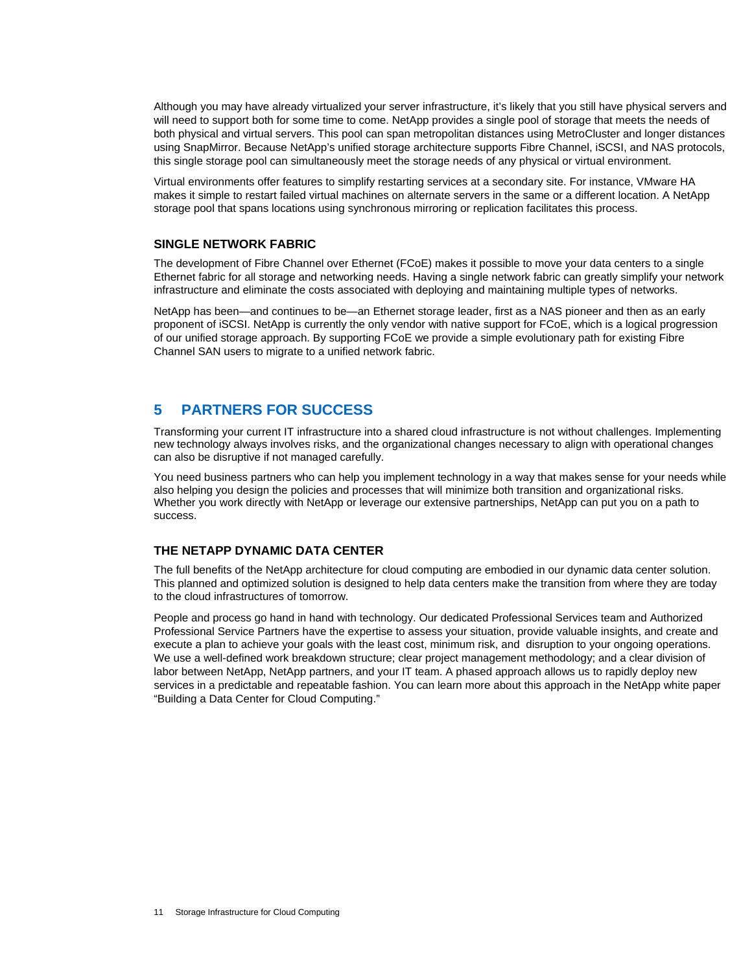<span id="page-10-0"></span>Although you may have already virtualized your server infrastructure, it's likely that you still have physical servers and will need to support both for some time to come. NetApp provides a single pool of storage that meets the needs of both physical and virtual servers. This pool can span metropolitan distances using MetroCluster and longer distances using SnapMirror. Because NetApp's unified storage architecture supports Fibre Channel, iSCSI, and NAS protocols, this single storage pool can simultaneously meet the storage needs of any physical or virtual environment.

Virtual environments offer features to simplify restarting services at a secondary site. For instance, VMware HA makes it simple to restart failed virtual machines on alternate servers in the same or a different location. A NetApp storage pool that spans locations using synchronous mirroring or replication facilitates this process.

#### **SINGLE NETWORK FABRIC**

The development of Fibre Channel over Ethernet (FCoE) makes it possible to move your data centers to a single Ethernet fabric for all storage and networking needs. Having a single network fabric can greatly simplify your network infrastructure and eliminate the costs associated with deploying and maintaining multiple types of networks.

NetApp has been—and continues to be—an Ethernet storage leader, first as a NAS pioneer and then as an early proponent of iSCSI. NetApp is currently the only vendor with native support for FCoE, which is a logical progression of our unified storage approach. By supporting FCoE we provide a simple evolutionary path for existing Fibre Channel SAN users to migrate to a unified network fabric.

## **5 PARTNERS FOR SUCCESS**

Transforming your current IT infrastructure into a shared cloud infrastructure is not without challenges. Implementing new technology always involves risks, and the organizational changes necessary to align with operational changes can also be disruptive if not managed carefully.

You need business partners who can help you implement technology in a way that makes sense for your needs while also helping you design the policies and processes that will minimize both transition and organizational risks. Whether you work directly with NetApp or leverage our extensive partnerships, NetApp can put you on a path to success.

#### **THE NETAPP DYNAMIC DATA CENTER**

The full benefits of the NetApp architecture for cloud computing are embodied in our dynamic data center solution. This planned and optimized solution is designed to help data centers make the transition from where they are today to the cloud infrastructures of tomorrow.

People and process go hand in hand with technology. Our dedicated Professional Services team and Authorized Professional Service Partners have the expertise to assess your situation, provide valuable insights, and create and execute a plan to achieve your goals with the least cost, minimum risk, and disruption to your ongoing operations. We use a well-defined work breakdown structure; clear project management methodology; and a clear division of labor between NetApp, NetApp partners, and your IT team. A phased approach allows us to rapidly deploy new services in a predictable and repeatable fashion. You can learn more about this approach in the NetApp white paper "Building a Data Center for Cloud Computing."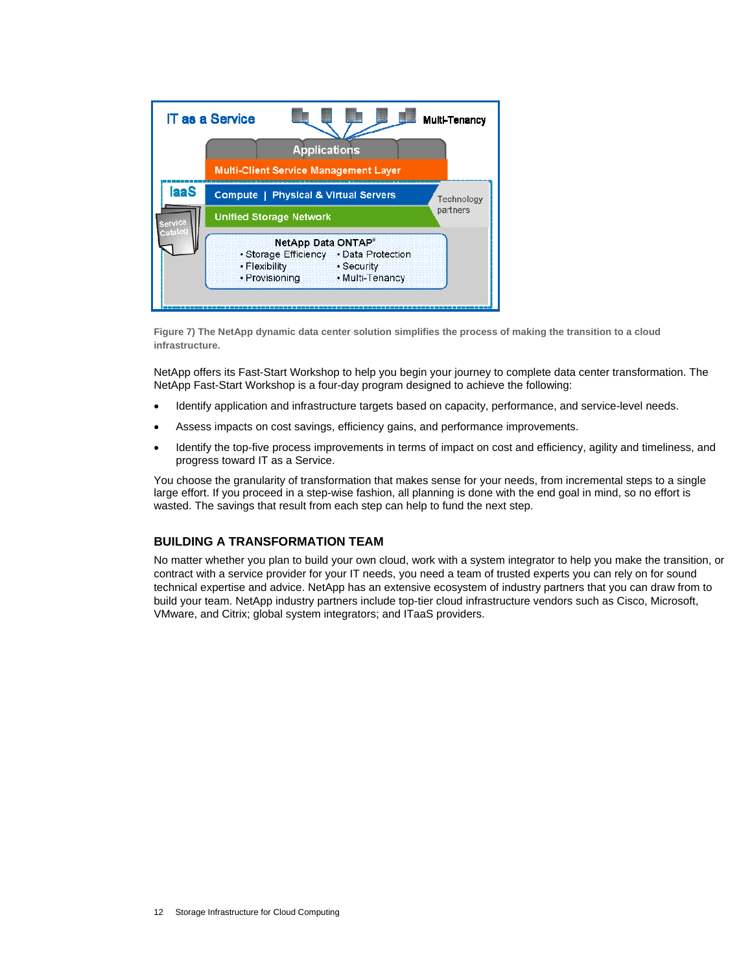<span id="page-11-0"></span>

**Figure 7) The NetApp dynamic data center solution simplifies the process of making the transition to a cloud infrastructure.** 

NetApp offers its Fast-Start Workshop to help you begin your journey to complete data center transformation. The NetApp Fast-Start Workshop is a four-day program designed to achieve the following:

- Identify application and infrastructure targets based on capacity, performance, and service-level needs.
- Assess impacts on cost savings, efficiency gains, and performance improvements.
- Identify the top-five process improvements in terms of impact on cost and efficiency, agility and timeliness, and progress toward IT as a Service.

You choose the granularity of transformation that makes sense for your needs, from incremental steps to a single large effort. If you proceed in a step-wise fashion, all planning is done with the end goal in mind, so no effort is wasted. The savings that result from each step can help to fund the next step.

#### **BUILDING A TRANSFORMATION TEAM**

No matter whether you plan to build your own cloud, work with a system integrator to help you make the transition, or contract with a service provider for your IT needs, you need a team of trusted experts you can rely on for sound technical expertise and advice. NetApp has an extensive ecosystem of industry partners that you can draw from to build your team. NetApp industry partners include top-tier cloud infrastructure vendors such as Cisco, Microsoft, VMware, and Citrix; global system integrators; and ITaaS providers.